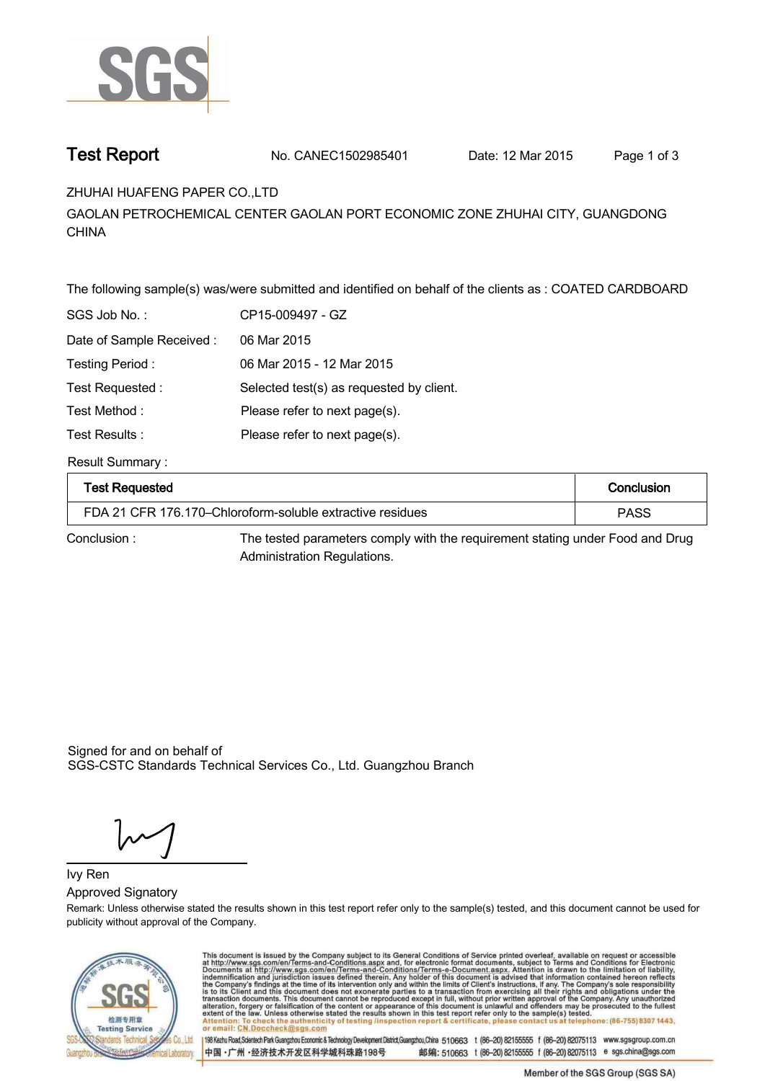

**Test Report. No. CANEC1502985401 Date: 12 Mar 2015 . Page 1 of 3.**

# **ZHUHAI HUAFENG PAPER CO.,LTD .**

**GAOLAN PETROCHEMICAL CENTER GAOLAN PORT ECONOMIC ZONE ZHUHAI CITY, GUANGDONG CHINA.**

**The following sample(s) was/were submitted and identified on behalf of the clients as : COATED CARDBOARD .**

| SGS Job No.:             | CP15-009497 - GZ                         |
|--------------------------|------------------------------------------|
| Date of Sample Received: | 06 Mar 2015                              |
| Testing Period:          | 06 Mar 2015 - 12 Mar 2015                |
| Test Requested:          | Selected test(s) as requested by client. |
| Test Method :            | Please refer to next page(s).            |
| Test Results :           | Please refer to next page(s).            |

## **Result Summary :.**

| <b>Test Requested</b>                                     | Conclusion |
|-----------------------------------------------------------|------------|
| FDA 21 CFR 176.170–Chloroform-soluble extractive residues | PASS       |

**Conclusion :. The tested parameters comply with the requirement stating under Food and Drug Administration Regulations. .**

Signed for and on behalf of SGS-CSTC Standards Technical Services Co., Ltd. Guangzhou Branch.

**Approved Signatory . Ivy Ren.**

**Remark: Unless otherwise stated the results shown in this test report refer only to the sample(s) tested, and this document cannot be used for publicity without approval of the Company.**



This document is issued by the Company subject to its General Conditions of Service printed overleaf, available on request or accessible at http://www.sgs.com/en/Terms-and-Conditions.aspx and, for electronic format docume lephone: (86-755) 8307 1443 ck the authenticity of testing /inspection report & certificate, pl

198 Kezhu Road,Scientech Park Guangzhou Economic & Technology Development District,Guangzhou,China 510663 t (86-20) 82155555 f (86-20) 82075113 www.sgsgroup.com.cn 中国·广州·经济技术开发区科学城科珠路198号 邮编: 510663 t (86-20) 82155555 f (86-20) 82075113 e sgs.china@sgs.com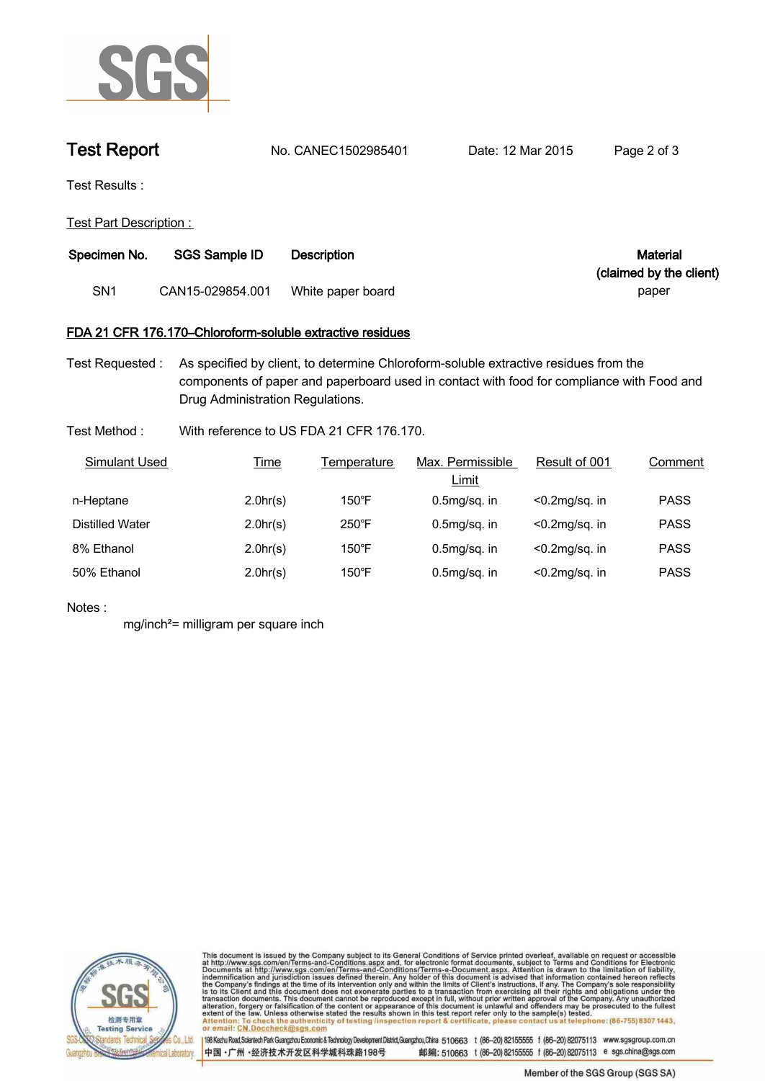

**Test Report. No. CANEC1502985401 Date: 12 Mar 2015 . Page 2 of 3.**

**Test Results :.**

**Test Part Description : .**

| Specimen No.<br><b>SGS Sample ID</b><br>Description |                  | Material          |                         |
|-----------------------------------------------------|------------------|-------------------|-------------------------|
|                                                     |                  |                   | (claimed by the client) |
| SN1                                                 | CAN15-029854.001 | White paper board | paper                   |

## **FDA 21 CFR 176.170–Chloroform-soluble extractive residues.**

**Test Requested :. As specified by client, to determine Chloroform-soluble extractive residues from the components of paper and paperboard used in contact with food for compliance with Food and Drug Administration Regulations. .**

# **Test Method :. With reference to US FDA 21 CFR 176.170. .**

| Simulant Used   | <u>Time</u> | Temperature     | Max. Permissible<br><u>Limit</u> | Result of 001     | Comment     |
|-----------------|-------------|-----------------|----------------------------------|-------------------|-------------|
| n-Heptane       | 2.0hr(s)    | $150^{\circ}$ F | $0.5mq/sa$ . in                  | $< 0.2$ mg/sg. in | <b>PASS</b> |
| Distilled Water | 2.0hr(s)    | 250°F           | $0.5mq/sa$ . in                  | $< 0.2$ mg/sq. in | <b>PASS</b> |
| 8% Ethanol      | 2.0hr(s)    | $150^{\circ}$ F | $0.5mq/sa$ . in                  | $< 0.2$ mg/sq. in | <b>PASS</b> |
| 50% Ethanol     | 2.0hr(s)    | $150^{\circ}$ F | $0.5mg/sq.$ in                   | $< 0.2$ mg/sq. in | <b>PASS</b> |

## **Notes :.**

**mg/inch²= milligram per square inch .**



This document is issued by the Company subject to its General Conditions of Service printed overleaf, available on request or accessible at http://www.sgs.com/en/Terms-and-Conditions.aspx and, for electronic format documen at telephone: (86-755) 8307 1443 Attenti ack the authenticity of testing /inspection report & certificate, ple contact us or email: CN.Doccheck@

198 Kezhu Road,Scientech Park Guangzhou Economic & Technology Development District,Guangzhou,China 510663 t (86-20) 82155555 f (86-20) 82075113 www.sgsgroup.com.cn 中国·广州·经济技术开发区科学城科珠路198号 邮编: 510663 t (86-20) 82155555 f (86-20) 82075113 e sgs.china@sgs.com

Member of the SGS Group (SGS SA)